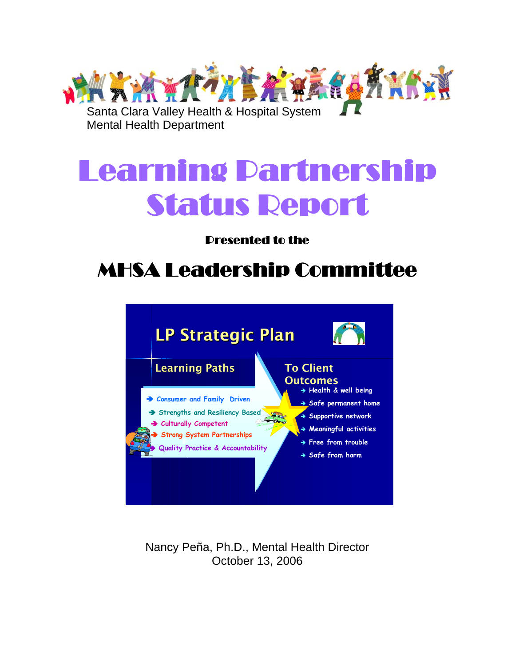

# Learning Partnership Status Report

## Presented to the

# MHSA Leadership Committee



Nancy Peña, Ph.D., Mental Health Director October 13, 2006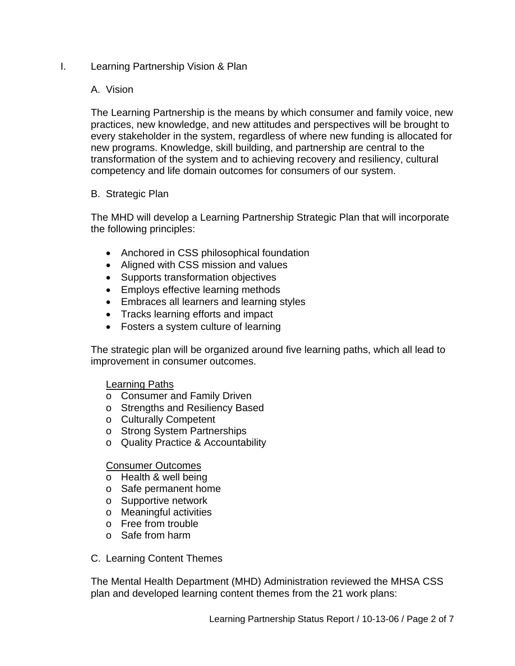#### I. Learning Partnership Vision & Plan

#### A. Vision

The Learning Partnership is the means by which consumer and family voice, new practices, new knowledge, and new attitudes and perspectives will be brought to every stakeholder in the system, regardless of where new funding is allocated for new programs. Knowledge, skill building, and partnership are central to the transformation of the system and to achieving recovery and resiliency, cultural competency and life domain outcomes for consumers of our system.

#### B. Strategic Plan

The MHD will develop a Learning Partnership Strategic Plan that will incorporate the following principles:

- Anchored in CSS philosophical foundation
- Aligned with CSS mission and values
- Supports transformation objectives
- Employs effective learning methods
- Embraces all learners and learning styles
- Tracks learning efforts and impact
- Fosters a system culture of learning

The strategic plan will be organized around five learning paths, which all lead to improvement in consumer outcomes.

#### Learning Paths

- o Consumer and Family Driven
- o Strengths and Resiliency Based
- o Culturally Competent
- o Strong System Partnerships
- o Quality Practice & Accountability

#### Consumer Outcomes

- o Health & well being
- o Safe permanent home
- o Supportive network
- o Meaningful activities
- o Free from trouble
- o Safe from harm
- C. Learning Content Themes

The Mental Health Department (MHD) Administration reviewed the MHSA CSS plan and developed learning content themes from the 21 work plans: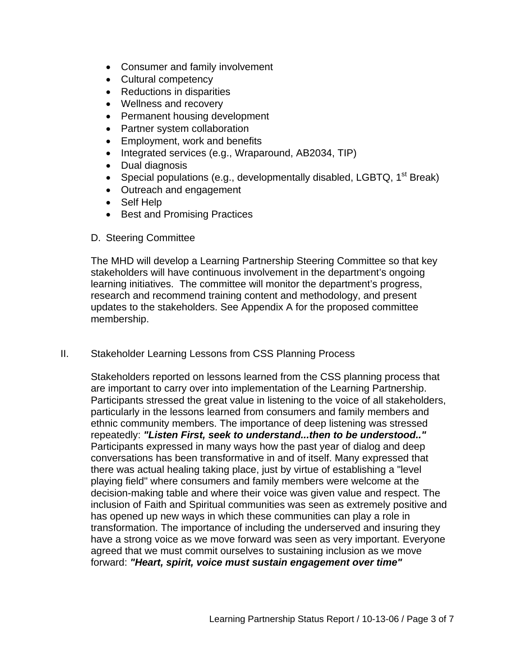- Consumer and family involvement
- Cultural competency
- Reductions in disparities
- Wellness and recovery
- Permanent housing development
- Partner system collaboration
- Employment, work and benefits
- Integrated services (e.g., Wraparound, AB2034, TIP)
- Dual diagnosis
- Special populations (e.g., developmentally disabled, LGBTQ,  $1<sup>st</sup>$  Break)
- Outreach and engagement
- Self Help
- Best and Promising Practices
- D. Steering Committee

The MHD will develop a Learning Partnership Steering Committee so that key stakeholders will have continuous involvement in the department's ongoing learning initiatives. The committee will monitor the department's progress, research and recommend training content and methodology, and present updates to the stakeholders. See Appendix A for the proposed committee membership.

#### II. Stakeholder Learning Lessons from CSS Planning Process

Stakeholders reported on lessons learned from the CSS planning process that are important to carry over into implementation of the Learning Partnership. Participants stressed the great value in listening to the voice of all stakeholders, particularly in the lessons learned from consumers and family members and ethnic community members. The importance of deep listening was stressed repeatedly: *"Listen First, seek to understand...then to be understood.."*  Participants expressed in many ways how the past year of dialog and deep conversations has been transformative in and of itself. Many expressed that there was actual healing taking place, just by virtue of establishing a "level playing field" where consumers and family members were welcome at the decision-making table and where their voice was given value and respect. The inclusion of Faith and Spiritual communities was seen as extremely positive and has opened up new ways in which these communities can play a role in transformation. The importance of including the underserved and insuring they have a strong voice as we move forward was seen as very important. Everyone agreed that we must commit ourselves to sustaining inclusion as we move forward: *"Heart, spirit, voice must sustain engagement over time"*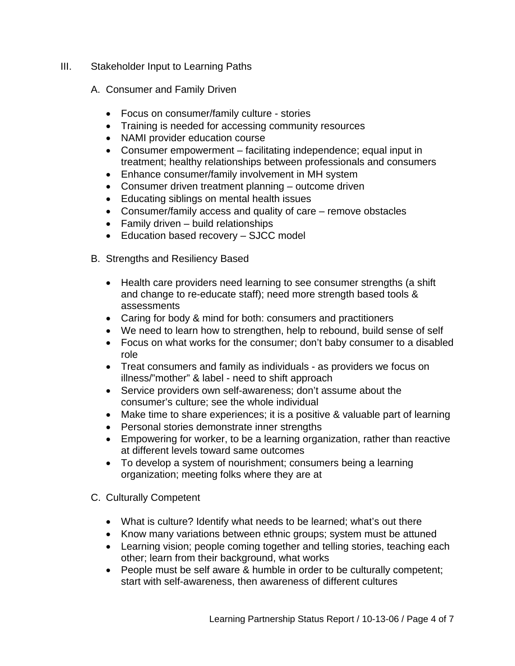- III. Stakeholder Input to Learning Paths
	- A. Consumer and Family Driven
		- Focus on consumer/family culture stories
		- Training is needed for accessing community resources
		- NAMI provider education course
		- Consumer empowerment facilitating independence; equal input in treatment; healthy relationships between professionals and consumers
		- Enhance consumer/family involvement in MH system
		- Consumer driven treatment planning outcome driven
		- Educating siblings on mental health issues
		- Consumer/family access and quality of care remove obstacles
		- Family driven build relationships
		- Education based recovery SJCC model
	- B. Strengths and Resiliency Based
		- Health care providers need learning to see consumer strengths (a shift and change to re-educate staff); need more strength based tools & assessments
		- Caring for body & mind for both: consumers and practitioners
		- We need to learn how to strengthen, help to rebound, build sense of self
		- Focus on what works for the consumer; don't baby consumer to a disabled role
		- Treat consumers and family as individuals as providers we focus on illness/"mother" & label - need to shift approach
		- Service providers own self-awareness; don't assume about the consumer's culture; see the whole individual
		- Make time to share experiences; it is a positive & valuable part of learning
		- Personal stories demonstrate inner strengths
		- Empowering for worker, to be a learning organization, rather than reactive at different levels toward same outcomes
		- To develop a system of nourishment; consumers being a learning organization; meeting folks where they are at
	- C. Culturally Competent
		- What is culture? Identify what needs to be learned; what's out there
		- Know many variations between ethnic groups; system must be attuned
		- Learning vision; people coming together and telling stories, teaching each other; learn from their background, what works
		- People must be self aware & humble in order to be culturally competent; start with self-awareness, then awareness of different cultures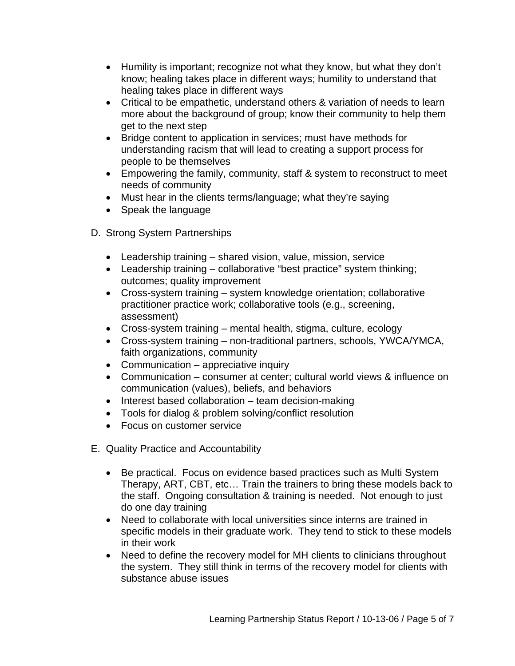- Humility is important; recognize not what they know, but what they don't know; healing takes place in different ways; humility to understand that healing takes place in different ways
- Critical to be empathetic, understand others & variation of needs to learn more about the background of group; know their community to help them get to the next step
- Bridge content to application in services; must have methods for understanding racism that will lead to creating a support process for people to be themselves
- Empowering the family, community, staff & system to reconstruct to meet needs of community
- Must hear in the clients terms/language; what they're saying
- Speak the language
- D. Strong System Partnerships
	- Leadership training shared vision, value, mission, service
	- Leadership training collaborative "best practice" system thinking; outcomes; quality improvement
	- Cross-system training system knowledge orientation; collaborative practitioner practice work; collaborative tools (e.g., screening, assessment)
	- Cross-system training mental health, stigma, culture, ecology
	- Cross-system training non-traditional partners, schools, YWCA/YMCA, faith organizations, community
	- Communication appreciative inquiry
	- Communication consumer at center; cultural world views & influence on communication (values), beliefs, and behaviors
	- Interest based collaboration team decision-making
	- Tools for dialog & problem solving/conflict resolution
	- Focus on customer service
- E. Quality Practice and Accountability
	- Be practical. Focus on evidence based practices such as Multi System Therapy, ART, CBT, etc… Train the trainers to bring these models back to the staff. Ongoing consultation & training is needed. Not enough to just do one day training
	- Need to collaborate with local universities since interns are trained in specific models in their graduate work. They tend to stick to these models in their work
	- Need to define the recovery model for MH clients to clinicians throughout the system. They still think in terms of the recovery model for clients with substance abuse issues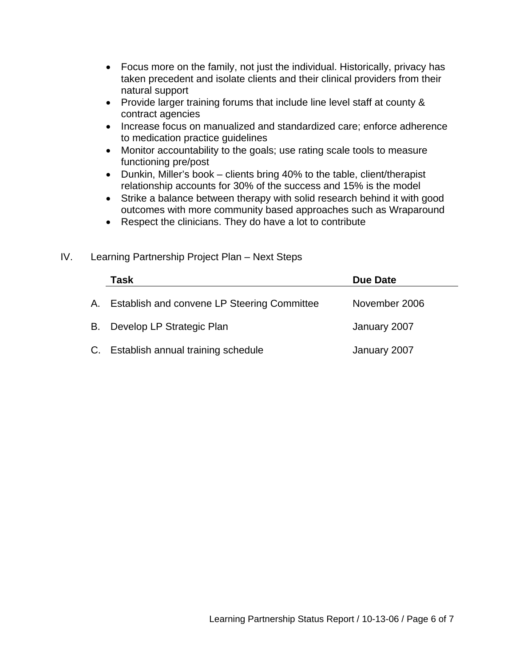- Focus more on the family, not just the individual. Historically, privacy has taken precedent and isolate clients and their clinical providers from their natural support
- Provide larger training forums that include line level staff at county & contract agencies
- Increase focus on manualized and standardized care; enforce adherence to medication practice guidelines
- Monitor accountability to the goals; use rating scale tools to measure functioning pre/post
- Dunkin, Miller's book clients bring 40% to the table, client/therapist relationship accounts for 30% of the success and 15% is the model
- Strike a balance between therapy with solid research behind it with good outcomes with more community based approaches such as Wraparound
- Respect the clinicians. They do have a lot to contribute
- **Task Due Date**  A. Establish and convene LP Steering Committee November 2006 B. Develop LP Strategic Plan January 2007 C. Establish annual training schedule Fig. 3. September 10. September 10. September 10. September 2007

#### IV. Learning Partnership Project Plan – Next Steps